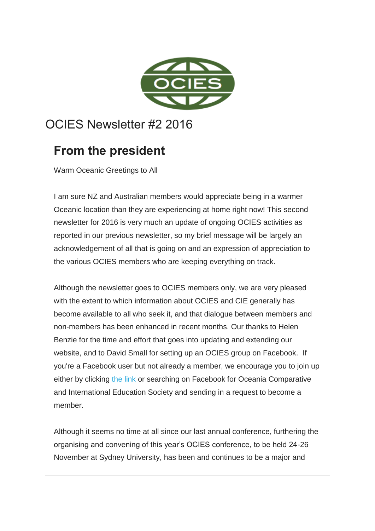

# OCIES Newsletter #2 2016

# **From the president**

Warm Oceanic Greetings to All

I am sure NZ and Australian members would appreciate being in a warmer Oceanic location than they are experiencing at home right now! This second newsletter for 2016 is very much an update of ongoing OCIES activities as reported in our previous newsletter, so my brief message will be largely an acknowledgement of all that is going on and an expression of appreciation to the various OCIES members who are keeping everything on track.

Although the newsletter goes to OCIES members only, we are very pleased with the extent to which information about OCIES and CIE generally has become available to all who seek it, and that dialogue between members and non-members has been enhanced in recent months. Our thanks to Helen Benzie for the time and effort that goes into updating and extending our website, and to David Small for setting up an OCIES group on Facebook. If you're a Facebook user but not already a member, we encourage you to join up either by clicking [the link](http://ocies.us12.list-manage.com/track/click?u=75aaa32624fb8c2752ce4c1e0&id=19ee201f31&e=ca895d9713) or searching on Facebook for Oceania Comparative and International Education Society and sending in a request to become a member.

Although it seems no time at all since our last annual conference, furthering the organising and convening of this year's OCIES conference, to be held 24-26 November at Sydney University, has been and continues to be a major and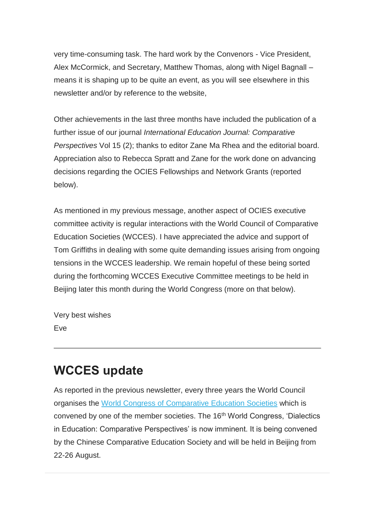very time-consuming task. The hard work by the Convenors - Vice President, Alex McCormick, and Secretary, Matthew Thomas, along with Nigel Bagnall – means it is shaping up to be quite an event, as you will see elsewhere in this newsletter and/or by reference to the website,

Other achievements in the last three months have included the publication of a further issue of our journal *International Education Journal: Comparative Perspectives* Vol 15 (2); thanks to editor Zane Ma Rhea and the editorial board. Appreciation also to Rebecca Spratt and Zane for the work done on advancing decisions regarding the OCIES Fellowships and Network Grants (reported below).

As mentioned in my previous message, another aspect of OCIES executive committee activity is regular interactions with the World Council of Comparative Education Societies (WCCES). I have appreciated the advice and support of Tom Griffiths in dealing with some quite demanding issues arising from ongoing tensions in the WCCES leadership. We remain hopeful of these being sorted during the forthcoming WCCES Executive Committee meetings to be held in Beijing later this month during the World Congress (more on that below).

Very best wishes Eve

## **WCCES update**

As reported in the previous newsletter, every three years the World Council organises the [World Congress of Comparative Education Societies](http://ocies.us12.list-manage.com/track/click?u=75aaa32624fb8c2752ce4c1e0&id=3d898595c9&e=ca895d9713) which is convened by one of the member societies. The 16<sup>th</sup> World Congress, 'Dialectics in Education: Comparative Perspectives' is now imminent. It is being convened by the Chinese Comparative Education Society and will be held in Beijing from 22-26 August.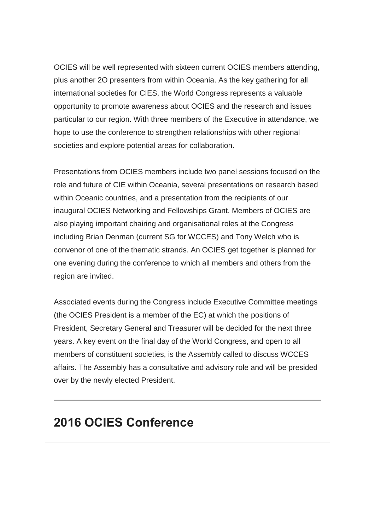OCIES will be well represented with sixteen current OCIES members attending, plus another 2O presenters from within Oceania. As the key gathering for all international societies for CIES, the World Congress represents a valuable opportunity to promote awareness about OCIES and the research and issues particular to our region. With three members of the Executive in attendance, we hope to use the conference to strengthen relationships with other regional societies and explore potential areas for collaboration.

Presentations from OCIES members include two panel sessions focused on the role and future of CIE within Oceania, several presentations on research based within Oceanic countries, and a presentation from the recipients of our inaugural OCIES Networking and Fellowships Grant. Members of OCIES are also playing important chairing and organisational roles at the Congress including Brian Denman (current SG for WCCES) and Tony Welch who is convenor of one of the thematic strands. An OCIES get together is planned for one evening during the conference to which all members and others from the region are invited.

Associated events during the Congress include Executive Committee meetings (the OCIES President is a member of the EC) at which the positions of President, Secretary General and Treasurer will be decided for the next three years. A key event on the final day of the World Congress, and open to all members of constituent societies, is the Assembly called to discuss WCCES affairs. The Assembly has a consultative and advisory role and will be presided over by the newly elected President.

#### **2016 OCIES Conference**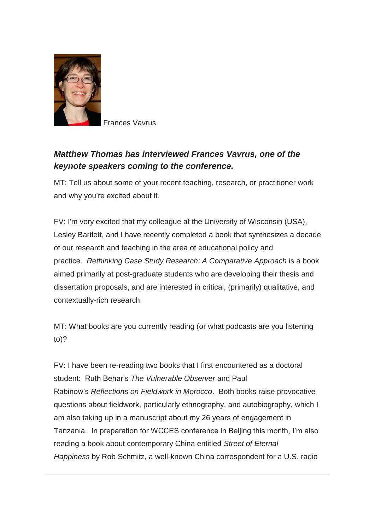

Frances Vavrus

#### *Matthew Thomas has interviewed Frances Vavrus, one of the keynote speakers coming to the conference.*

MT: Tell us about some of your recent teaching, research, or practitioner work and why you're excited about it.

FV: I'm very excited that my colleague at the University of Wisconsin (USA), Lesley Bartlett, and I have recently completed a book that synthesizes a decade of our research and teaching in the area of educational policy and practice. *Rethinking Case Study Research: A Comparative Approach* is a book aimed primarily at post-graduate students who are developing their thesis and dissertation proposals, and are interested in critical, (primarily) qualitative, and contextually-rich research.

MT: What books are you currently reading (or what podcasts are you listening to)?

FV: I have been re-reading two books that I first encountered as a doctoral student: Ruth Behar's *The Vulnerable Observer* and Paul Rabinow's *Reflections on Fieldwork in Morocco*. Both books raise provocative questions about fieldwork, particularly ethnography, and autobiography, which I am also taking up in a manuscript about my 26 years of engagement in Tanzania. In preparation for WCCES conference in Beijing this month, I'm also reading a book about contemporary China entitled *Street of Eternal Happiness* by Rob Schmitz, a well-known China correspondent for a U.S. radio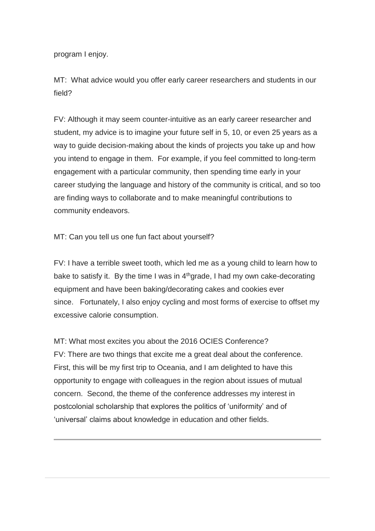program I enjoy.

MT: What advice would you offer early career researchers and students in our field?

FV: Although it may seem counter-intuitive as an early career researcher and student, my advice is to imagine your future self in 5, 10, or even 25 years as a way to guide decision-making about the kinds of projects you take up and how you intend to engage in them. For example, if you feel committed to long-term engagement with a particular community, then spending time early in your career studying the language and history of the community is critical, and so too are finding ways to collaborate and to make meaningful contributions to community endeavors.

MT: Can you tell us one fun fact about yourself?

FV: I have a terrible sweet tooth, which led me as a young child to learn how to bake to satisfy it. By the time I was in  $4<sup>th</sup>$ grade, I had my own cake-decorating equipment and have been baking/decorating cakes and cookies ever since. Fortunately, I also enjoy cycling and most forms of exercise to offset my excessive calorie consumption.

MT: What most excites you about the 2016 OCIES Conference? FV: There are two things that excite me a great deal about the conference. First, this will be my first trip to Oceania, and I am delighted to have this opportunity to engage with colleagues in the region about issues of mutual concern. Second, the theme of the conference addresses my interest in postcolonial scholarship that explores the politics of 'uniformity' and of 'universal' claims about knowledge in education and other fields.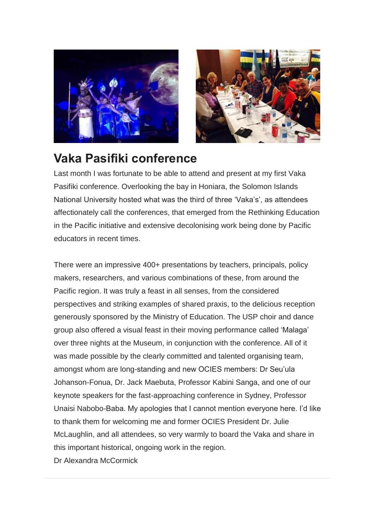



## **Vaka Pasifiki conference**

Last month I was fortunate to be able to attend and present at my first Vaka Pasifiki conference. Overlooking the bay in Honiara, the Solomon Islands National University hosted what was the third of three 'Vaka's', as attendees affectionately call the conferences, that emerged from the Rethinking Education in the Pacific initiative and extensive decolonising work being done by Pacific educators in recent times.

There were an impressive 400+ presentations by teachers, principals, policy makers, researchers, and various combinations of these, from around the Pacific region. It was truly a feast in all senses, from the considered perspectives and striking examples of shared praxis, to the delicious reception generously sponsored by the Ministry of Education. The USP choir and dance group also offered a visual feast in their moving performance called 'Malaga' over three nights at the Museum, in conjunction with the conference. All of it was made possible by the clearly committed and talented organising team, amongst whom are long-standing and new OCIES members: Dr Seu'ula Johanson-Fonua, Dr. Jack Maebuta, Professor Kabini Sanga, and one of our keynote speakers for the fast-approaching conference in Sydney, Professor Unaisi Nabobo-Baba. My apologies that I cannot mention everyone here. I'd like to thank them for welcoming me and former OCIES President Dr. Julie McLaughlin, and all attendees, so very warmly to board the Vaka and share in this important historical, ongoing work in the region.

Dr Alexandra McCormick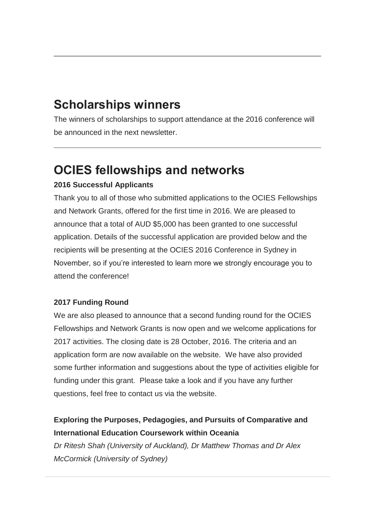# **Scholarships winners**

The winners of scholarships to support attendance at the 2016 conference will be announced in the next newsletter.

# **OCIES fellowships and networks**

#### **2016 Successful Applicants**

Thank you to all of those who submitted applications to the OCIES Fellowships and Network Grants, offered for the first time in 2016. We are pleased to announce that a total of AUD \$5,000 has been granted to one successful application. Details of the successful application are provided below and the recipients will be presenting at the OCIES 2016 Conference in Sydney in November, so if you're interested to learn more we strongly encourage you to attend the conference!

#### **2017 Funding Round**

We are also pleased to announce that a second funding round for the OCIES Fellowships and Network Grants is now open and we welcome applications for 2017 activities. The closing date is 28 October, 2016. The criteria and an application form are now available on the website. We have also provided some further information and suggestions about the type of activities eligible for funding under this grant. Please take a look and if you have any further questions, feel free to contact us via the website.

#### **Exploring the Purposes, Pedagogies, and Pursuits of Comparative and International Education Coursework within Oceania**

*Dr Ritesh Shah (University of Auckland), Dr Matthew Thomas and Dr Alex McCormick (University of Sydney)*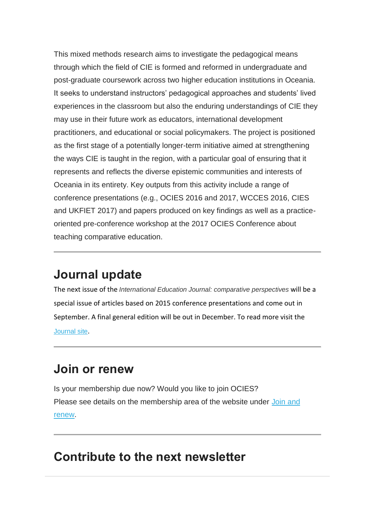This mixed methods research aims to investigate the pedagogical means through which the field of CIE is formed and reformed in undergraduate and post-graduate coursework across two higher education institutions in Oceania. It seeks to understand instructors' pedagogical approaches and students' lived experiences in the classroom but also the enduring understandings of CIE they may use in their future work as educators, international development practitioners, and educational or social policymakers. The project is positioned as the first stage of a potentially longer-term initiative aimed at strengthening the ways CIE is taught in the region, with a particular goal of ensuring that it represents and reflects the diverse epistemic communities and interests of Oceania in its entirety. Key outputs from this activity include a range of conference presentations (e.g., OCIES 2016 and 2017, WCCES 2016, CIES and UKFIET 2017) and papers produced on key findings as well as a practiceoriented pre-conference workshop at the 2017 OCIES Conference about teaching comparative education.

## **Journal update**

The next issue of the *International Education Journal: comparative perspectives* will be a special issue of articles based on 2015 conference presentations and come out in September. A final general edition will be out in December. To read more visit the [Journal site](http://ocies.us12.list-manage.com/track/click?u=75aaa32624fb8c2752ce4c1e0&id=08a50c9a7d&e=ca895d9713).

## **Join or renew**

Is your membership due now? Would you like to join OCIES? Please see details on the membership area of the website under Join and [renew.](http://ocies.us12.list-manage.com/track/click?u=75aaa32624fb8c2752ce4c1e0&id=e95a4c5cae&e=ca895d9713)

# **Contribute to the next newsletter**